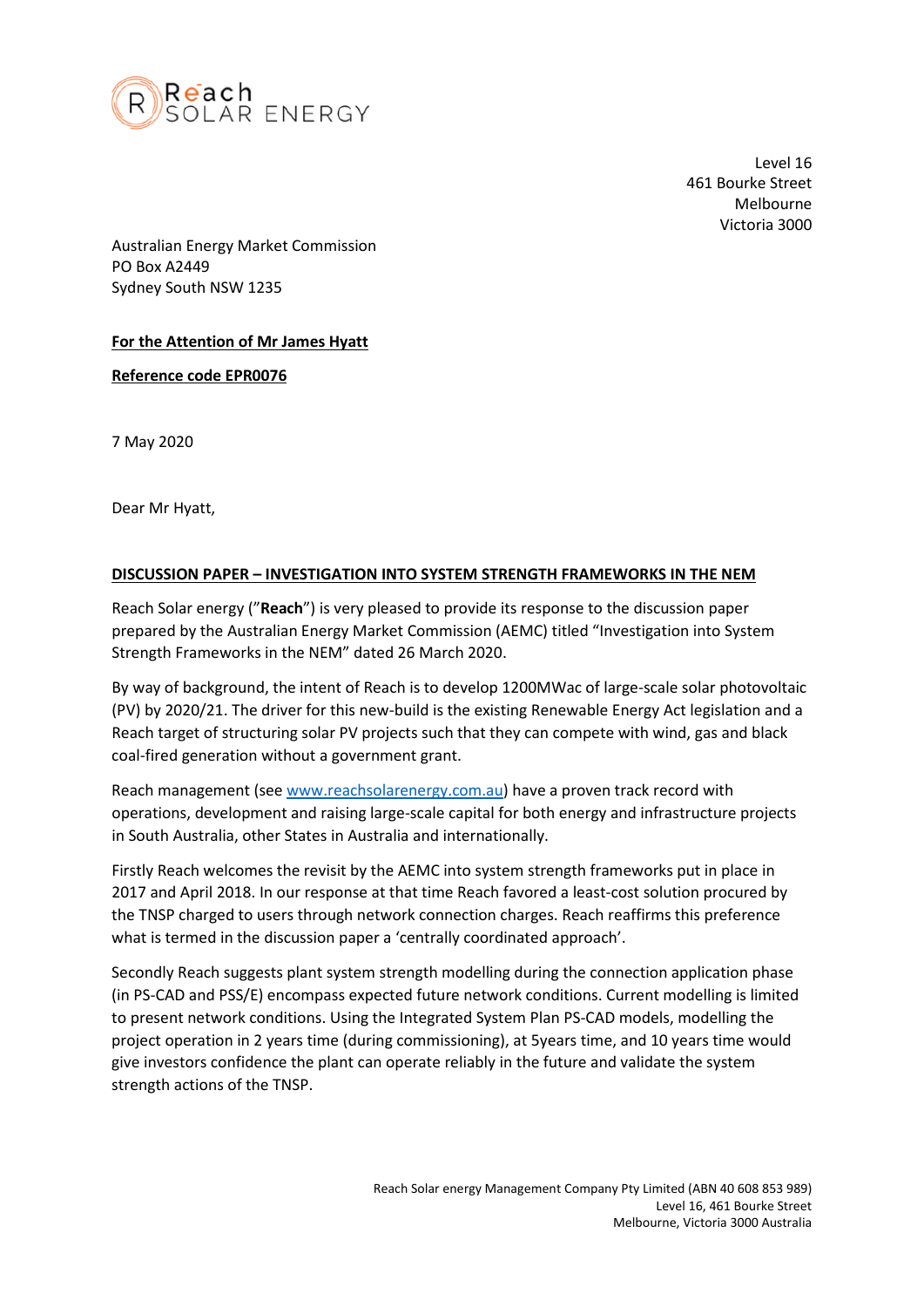

Level 16 461 Bourke Street Melbourne Victoria 3000

Australian Energy Market Commission PO Box A2449 Sydney South NSW 1235

## **For the Attention of Mr James Hyatt**

**Reference code EPR0076**

7 May 2020

Dear Mr Hyatt,

## **DISCUSSION PAPER – INVESTIGATION INTO SYSTEM STRENGTH FRAMEWORKS IN THE NEM**

Reach Solar energy ("**Reach**") is very pleased to provide its response to the discussion paper prepared by the Australian Energy Market Commission (AEMC) titled "Investigation into System Strength Frameworks in the NEM" dated 26 March 2020.

By way of background, the intent of Reach is to develop 1200MWac of large-scale solar photovoltaic (PV) by 2020/21. The driver for this new-build is the existing Renewable Energy Act legislation and a Reach target of structuring solar PV projects such that they can compete with wind, gas and black coal-fired generation without a government grant.

Reach management (se[e www.reachsolarenergy.com.au\)](http://www.reachsolarenergy.com.au/) have a proven track record with operations, development and raising large-scale capital for both energy and infrastructure projects in South Australia, other States in Australia and internationally.

Firstly Reach welcomes the revisit by the AEMC into system strength frameworks put in place in 2017 and April 2018. In our response at that time Reach favored a least-cost solution procured by the TNSP charged to users through network connection charges. Reach reaffirms this preference what is termed in the discussion paper a 'centrally coordinated approach'.

Secondly Reach suggests plant system strength modelling during the connection application phase (in PS-CAD and PSS/E) encompass expected future network conditions. Current modelling is limited to present network conditions. Using the Integrated System Plan PS-CAD models, modelling the project operation in 2 years time (during commissioning), at 5years time, and 10 years time would give investors confidence the plant can operate reliably in the future and validate the system strength actions of the TNSP.